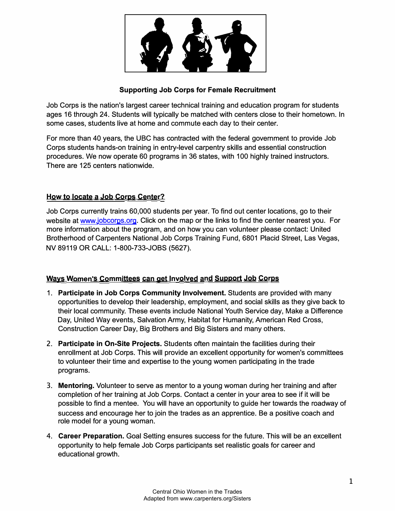

# **Supporting Job Corps for Female Recruitment**

Job Corps is the nation's largest career technical training and education program for students ages 16 through 24. Students will typically be matched with centers close to their hometown. In some cases, students live at home and commute each day to their center.

For more than 40 years, the UBC has contracted with the federal government to provide Job Corps students hands-on training in entry-level carpentry skills and essential construction procedures. We now operate 60 programs in 36 states, with 100 highly trained instructors. There are 125 centers nationwide.

# **How to locate a Job Corps Center?**

Job Corps currently trains 60,000 students per year. To find out center locations, go to their website at www.jobcorps.org. Click on the map or the links to find the center nearest you. For more information about the program, and on how you can volunteer please contact: United Brotherhood of Carpenters National Job Corps Training Fund, 6801 Placid Street, Las Vegas, NV 89119 OR CALL: 1-800-733-JOBS (5627).

# **Ways Women's Committees can get Involved and Support Job Corps**

- 1. **Participate in Job Corps Community Involvement.** Students are provided with many opportunities to develop their leadership, employment, and social skills as they give back to their local community. These events include National Youth Service day, Make a Difference Day, United Way events, Salvation Army, Habitat for Humanity, American Red Cross, Construction Career Day, Big Brothers and Big Sisters and many others.
- 2. **Participate in On-Site Projects.** Students often maintain the facilities during their enrollment at Job Corps. This will provide an excellent opportunity for women's committees to volunteer their time and expertise to the young women participating in the trade programs.
- 3. **Mentoring.** Volunteer to serve as mentor to a young woman during her training and after completion of her training at Job Corps. Contact a center in your area to see if it will be possible to find a mentee. You will have an opportunity to guide her towards the roadway of success and encourage her to join the trades as an apprentice. Be a positive coach and role model for a young woman.
- 4. **Career Preparation.** Goal Setting ensures success for the future. This will be an excellent opportunity to help female Job Corps participants set realistic goals for career and educational growth.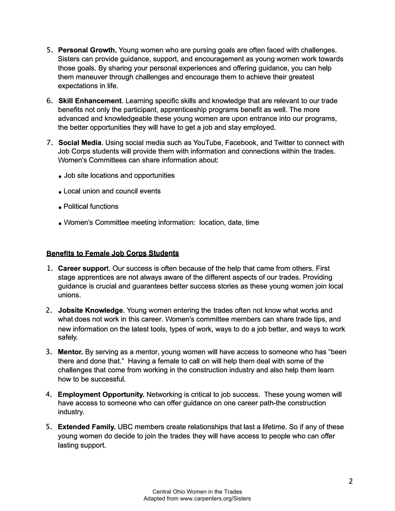- 5. **Personal Growth.** Young women who are pursing goals are often faced with challenges. Sisters can provide guidance, support, and encouragement as young women work towards those goals. By sharing your personal experiences and offering guidance, you can help them maneuver through challenges and encourage them to achieve their greatest expectations in life.
- 6. **Skill Enhancement.** Learning specific skills and knowledge that are relevant to our trade benefits not only the participant, apprenticeship programs benefit as well. The more advanced and knowledgeable these young women are upon entrance into our programs, the better opportunities they will have to get a job and stay employed.
- 7. **Social Media.** Using social media such as YouTube, Facebook, and Twitter to connect with Job Corps students will provide them with information and connections within the trades. Women's Committees can share information about:
	- Job site locations and opportunities
	- Local union and council events
	- Political functions
	- Women's Committee meeting information: location, date, time

### **Benefits to Female Job Corps Students**

- **1. Career support.** Our success is often because of the help that came from others. First stage apprentices are not always aware of the different aspects of our trades. Providing guidance is crucial and guarantees better success stories as these young women join local unions.
- 2. **Jobsite Knowledge.** Young women entering the trades often not know what works and what does not work in this career. Women's committee members can share trade tips, and new information on the latest tools, types of work, ways to do a job better, and ways to work safely.
- 3. **Mentor.** By serving as a mentor, young women will have access to someone who has "been there and done that." Having a female to call on will help them deal with some of the challenges that come from working in the construction industry and also help them learn how to be successful.
- 4. **Employment Opportunity.** Networking is critical to job success. These young women will have access to someone who can offer guidance on one career path-the construction industry.
- 5. **Extended Family.** UBC members create relationships that last a lifetime. So if any of these young women do decide to join the trades they will have access to people who can offer lasting support.